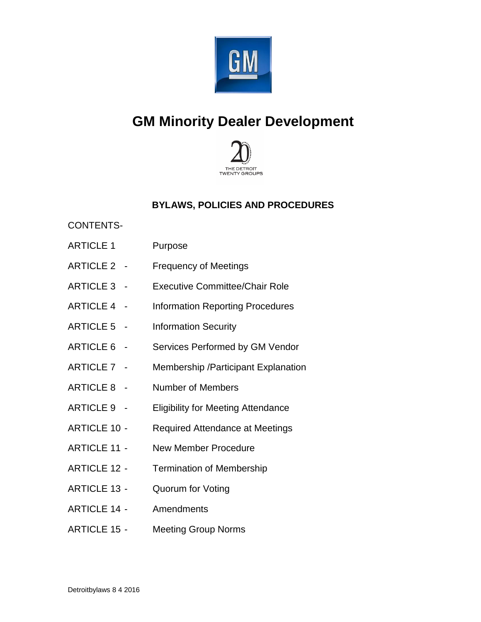

# **GM Minority Dealer Development**



# **BYLAWS, POLICIES AND PROCEDURES**

# CONTENTS-

- ARTICLE 1 Purpose
- ARTICLE 2 Frequency of Meetings
- ARTICLE 3 Executive Committee/Chair Role
- ARTICLE 4 Information Reporting Procedures
- ARTICLE 5 Information Security
- ARTICLE 6 Services Performed by GM Vendor
- ARTICLE 7 Membership /Participant Explanation
- ARTICLE 8 Number of Members
- ARTICLE 9 Eligibility for Meeting Attendance
- ARTICLE 10 Required Attendance at Meetings
- ARTICLE 11 New Member Procedure
- ARTICLE 12 Termination of Membership
- ARTICLE 13 Quorum for Voting
- ARTICLE 14 Amendments
- ARTICLE 15 Meeting Group Norms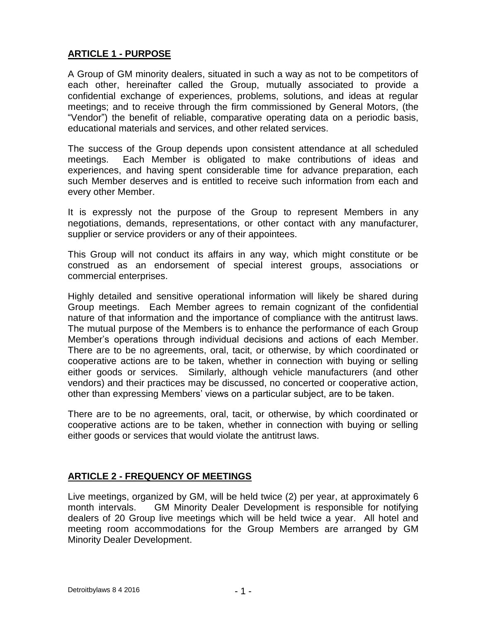# **ARTICLE 1 - PURPOSE**

A Group of GM minority dealers, situated in such a way as not to be competitors of each other, hereinafter called the Group, mutually associated to provide a confidential exchange of experiences, problems, solutions, and ideas at regular meetings; and to receive through the firm commissioned by General Motors, (the "Vendor") the benefit of reliable, comparative operating data on a periodic basis, educational materials and services, and other related services.

The success of the Group depends upon consistent attendance at all scheduled meetings. Each Member is obligated to make contributions of ideas and experiences, and having spent considerable time for advance preparation, each such Member deserves and is entitled to receive such information from each and every other Member.

It is expressly not the purpose of the Group to represent Members in any negotiations, demands, representations, or other contact with any manufacturer, supplier or service providers or any of their appointees.

This Group will not conduct its affairs in any way, which might constitute or be construed as an endorsement of special interest groups, associations or commercial enterprises.

Highly detailed and sensitive operational information will likely be shared during Group meetings. Each Member agrees to remain cognizant of the confidential nature of that information and the importance of compliance with the antitrust laws. The mutual purpose of the Members is to enhance the performance of each Group Member's operations through individual decisions and actions of each Member. There are to be no agreements, oral, tacit, or otherwise, by which coordinated or cooperative actions are to be taken, whether in connection with buying or selling either goods or services. Similarly, although vehicle manufacturers (and other vendors) and their practices may be discussed, no concerted or cooperative action, other than expressing Members' views on a particular subject, are to be taken.

There are to be no agreements, oral, tacit, or otherwise, by which coordinated or cooperative actions are to be taken, whether in connection with buying or selling either goods or services that would violate the antitrust laws.

# **ARTICLE 2 - FREQUENCY OF MEETINGS**

Live meetings, organized by GM, will be held twice (2) per year, at approximately 6 month intervals. GM Minority Dealer Development is responsible for notifying dealers of 20 Group live meetings which will be held twice a year. All hotel and meeting room accommodations for the Group Members are arranged by GM Minority Dealer Development.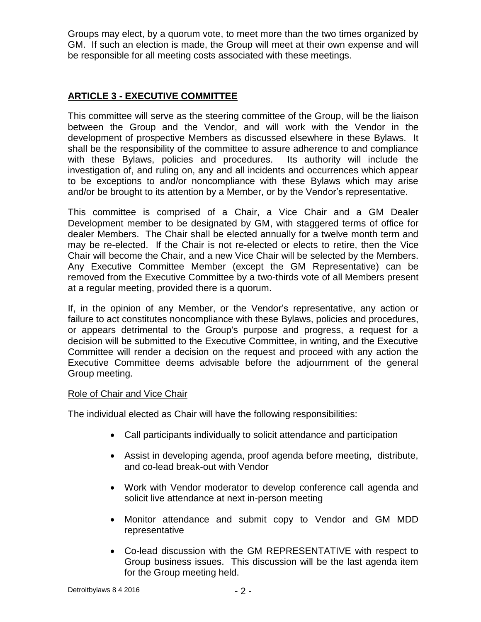Groups may elect, by a quorum vote, to meet more than the two times organized by GM. If such an election is made, the Group will meet at their own expense and will be responsible for all meeting costs associated with these meetings.

# **ARTICLE 3 - EXECUTIVE COMMITTEE**

This committee will serve as the steering committee of the Group, will be the liaison between the Group and the Vendor, and will work with the Vendor in the development of prospective Members as discussed elsewhere in these Bylaws. It shall be the responsibility of the committee to assure adherence to and compliance with these Bylaws, policies and procedures. Its authority will include the investigation of, and ruling on, any and all incidents and occurrences which appear to be exceptions to and/or noncompliance with these Bylaws which may arise and/or be brought to its attention by a Member, or by the Vendor's representative.

This committee is comprised of a Chair, a Vice Chair and a GM Dealer Development member to be designated by GM, with staggered terms of office for dealer Members. The Chair shall be elected annually for a twelve month term and may be re-elected. If the Chair is not re-elected or elects to retire, then the Vice Chair will become the Chair, and a new Vice Chair will be selected by the Members. Any Executive Committee Member (except the GM Representative) can be removed from the Executive Committee by a two-thirds vote of all Members present at a regular meeting, provided there is a quorum.

If, in the opinion of any Member, or the Vendor's representative, any action or failure to act constitutes noncompliance with these Bylaws, policies and procedures, or appears detrimental to the Group's purpose and progress, a request for a decision will be submitted to the Executive Committee, in writing, and the Executive Committee will render a decision on the request and proceed with any action the Executive Committee deems advisable before the adjournment of the general Group meeting.

## Role of Chair and Vice Chair

The individual elected as Chair will have the following responsibilities:

- Call participants individually to solicit attendance and participation
- Assist in developing agenda, proof agenda before meeting, distribute, and co-lead break-out with Vendor
- Work with Vendor moderator to develop conference call agenda and solicit live attendance at next in-person meeting
- Monitor attendance and submit copy to Vendor and GM MDD representative
- Co-lead discussion with the GM REPRESENTATIVE with respect to Group business issues. This discussion will be the last agenda item for the Group meeting held.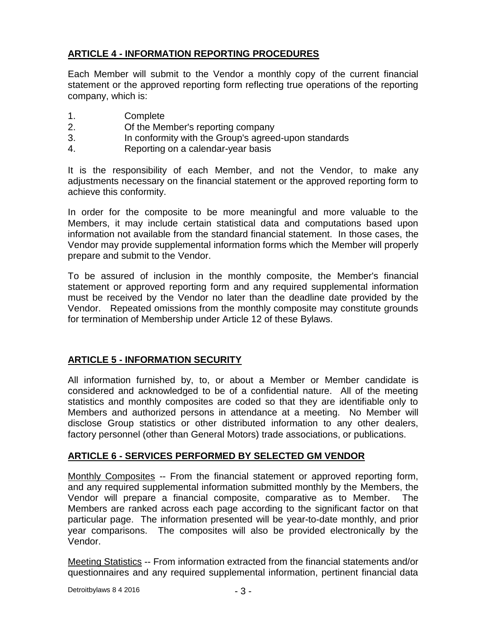# **ARTICLE 4 - INFORMATION REPORTING PROCEDURES**

Each Member will submit to the Vendor a monthly copy of the current financial statement or the approved reporting form reflecting true operations of the reporting company, which is:

- 1. Complete
- 2. Of the Member's reporting company
- 3. In conformity with the Group's agreed-upon standards
- 4. Reporting on a calendar-year basis

It is the responsibility of each Member, and not the Vendor, to make any adjustments necessary on the financial statement or the approved reporting form to achieve this conformity.

In order for the composite to be more meaningful and more valuable to the Members, it may include certain statistical data and computations based upon information not available from the standard financial statement. In those cases, the Vendor may provide supplemental information forms which the Member will properly prepare and submit to the Vendor.

To be assured of inclusion in the monthly composite, the Member's financial statement or approved reporting form and any required supplemental information must be received by the Vendor no later than the deadline date provided by the Vendor. Repeated omissions from the monthly composite may constitute grounds for termination of Membership under Article 12 of these Bylaws.

# **ARTICLE 5 - INFORMATION SECURITY**

All information furnished by, to, or about a Member or Member candidate is considered and acknowledged to be of a confidential nature. All of the meeting statistics and monthly composites are coded so that they are identifiable only to Members and authorized persons in attendance at a meeting. No Member will disclose Group statistics or other distributed information to any other dealers, factory personnel (other than General Motors) trade associations, or publications.

# **ARTICLE 6 - SERVICES PERFORMED BY SELECTED GM VENDOR**

Monthly Composites -- From the financial statement or approved reporting form, and any required supplemental information submitted monthly by the Members, the Vendor will prepare a financial composite, comparative as to Member. The Members are ranked across each page according to the significant factor on that particular page. The information presented will be year-to-date monthly, and prior year comparisons. The composites will also be provided electronically by the Vendor.

Meeting Statistics -- From information extracted from the financial statements and/or questionnaires and any required supplemental information, pertinent financial data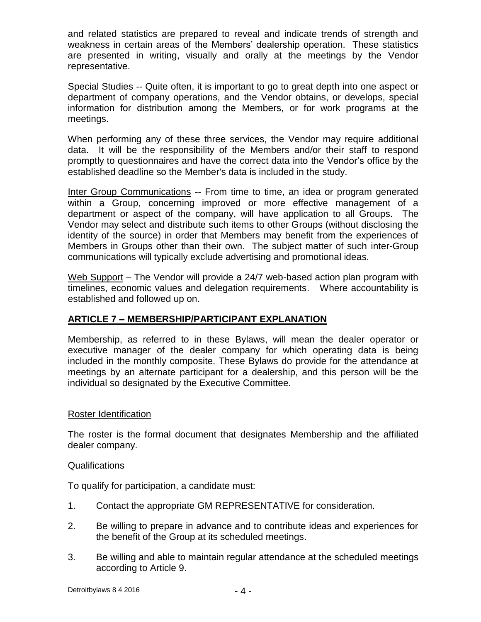and related statistics are prepared to reveal and indicate trends of strength and weakness in certain areas of the Members' dealership operation. These statistics are presented in writing, visually and orally at the meetings by the Vendor representative.

Special Studies -- Quite often, it is important to go to great depth into one aspect or department of company operations, and the Vendor obtains, or develops, special information for distribution among the Members, or for work programs at the meetings.

When performing any of these three services, the Vendor may require additional data. It will be the responsibility of the Members and/or their staff to respond promptly to questionnaires and have the correct data into the Vendor's office by the established deadline so the Member's data is included in the study.

Inter Group Communications -- From time to time, an idea or program generated within a Group, concerning improved or more effective management of a department or aspect of the company, will have application to all Groups. The Vendor may select and distribute such items to other Groups (without disclosing the identity of the source) in order that Members may benefit from the experiences of Members in Groups other than their own. The subject matter of such inter-Group communications will typically exclude advertising and promotional ideas.

Web Support – The Vendor will provide a 24/7 web-based action plan program with timelines, economic values and delegation requirements. Where accountability is established and followed up on.

# **ARTICLE 7 – MEMBERSHIP/PARTICIPANT EXPLANATION**

Membership, as referred to in these Bylaws, will mean the dealer operator or executive manager of the dealer company for which operating data is being included in the monthly composite. These Bylaws do provide for the attendance at meetings by an alternate participant for a dealership, and this person will be the individual so designated by the Executive Committee.

## Roster Identification

The roster is the formal document that designates Membership and the affiliated dealer company.

#### Qualifications

To qualify for participation, a candidate must:

- 1. Contact the appropriate GM REPRESENTATIVE for consideration.
- 2. Be willing to prepare in advance and to contribute ideas and experiences for the benefit of the Group at its scheduled meetings.
- 3. Be willing and able to maintain regular attendance at the scheduled meetings according to Article 9.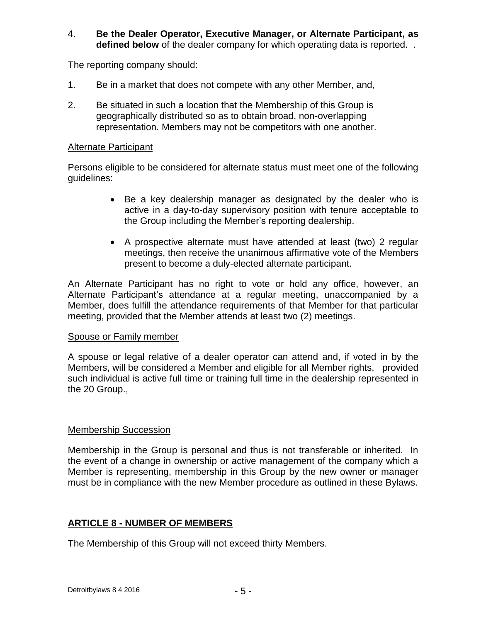## 4. **Be the Dealer Operator, Executive Manager, or Alternate Participant, as defined below** of the dealer company for which operating data is reported. .

The reporting company should:

- 1. Be in a market that does not compete with any other Member, and,
- 2. Be situated in such a location that the Membership of this Group is geographically distributed so as to obtain broad, non-overlapping representation. Members may not be competitors with one another.

#### Alternate Participant

Persons eligible to be considered for alternate status must meet one of the following guidelines:

- Be a key dealership manager as designated by the dealer who is active in a day-to-day supervisory position with tenure acceptable to the Group including the Member's reporting dealership.
- A prospective alternate must have attended at least (two) 2 regular meetings, then receive the unanimous affirmative vote of the Members present to become a duly-elected alternate participant.

An Alternate Participant has no right to vote or hold any office, however, an Alternate Participant's attendance at a regular meeting, unaccompanied by a Member, does fulfill the attendance requirements of that Member for that particular meeting, provided that the Member attends at least two (2) meetings.

#### Spouse or Family member

A spouse or legal relative of a dealer operator can attend and, if voted in by the Members, will be considered a Member and eligible for all Member rights, provided such individual is active full time or training full time in the dealership represented in the 20 Group.,

#### Membership Succession

Membership in the Group is personal and thus is not transferable or inherited. In the event of a change in ownership or active management of the company which a Member is representing, membership in this Group by the new owner or manager must be in compliance with the new Member procedure as outlined in these Bylaws.

#### **ARTICLE 8 - NUMBER OF MEMBERS**

The Membership of this Group will not exceed thirty Members.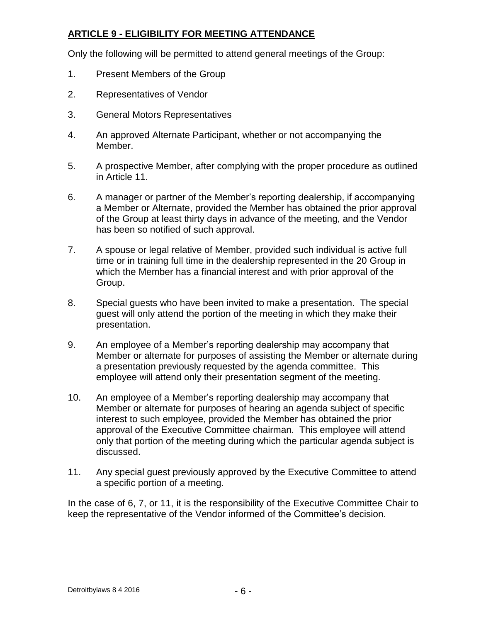# **ARTICLE 9 - ELIGIBILITY FOR MEETING ATTENDANCE**

Only the following will be permitted to attend general meetings of the Group:

- 1. Present Members of the Group
- 2. Representatives of Vendor
- 3. General Motors Representatives
- 4. An approved Alternate Participant, whether or not accompanying the Member.
- 5. A prospective Member, after complying with the proper procedure as outlined in Article 11.
- 6. A manager or partner of the Member's reporting dealership, if accompanying a Member or Alternate, provided the Member has obtained the prior approval of the Group at least thirty days in advance of the meeting, and the Vendor has been so notified of such approval.
- 7. A spouse or legal relative of Member, provided such individual is active full time or in training full time in the dealership represented in the 20 Group in which the Member has a financial interest and with prior approval of the Group.
- 8. Special guests who have been invited to make a presentation. The special guest will only attend the portion of the meeting in which they make their presentation.
- 9. An employee of a Member's reporting dealership may accompany that Member or alternate for purposes of assisting the Member or alternate during a presentation previously requested by the agenda committee. This employee will attend only their presentation segment of the meeting.
- 10. An employee of a Member's reporting dealership may accompany that Member or alternate for purposes of hearing an agenda subject of specific interest to such employee, provided the Member has obtained the prior approval of the Executive Committee chairman. This employee will attend only that portion of the meeting during which the particular agenda subject is discussed.
- 11. Any special guest previously approved by the Executive Committee to attend a specific portion of a meeting.

In the case of 6, 7, or 11, it is the responsibility of the Executive Committee Chair to keep the representative of the Vendor informed of the Committee's decision.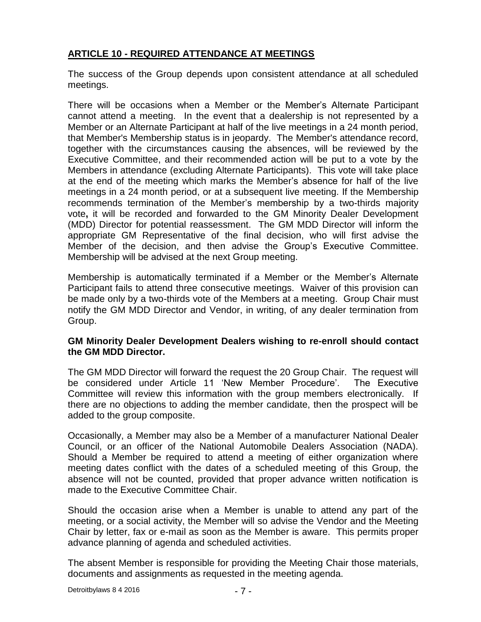# **ARTICLE 10 - REQUIRED ATTENDANCE AT MEETINGS**

The success of the Group depends upon consistent attendance at all scheduled meetings.

There will be occasions when a Member or the Member's Alternate Participant cannot attend a meeting. In the event that a dealership is not represented by a Member or an Alternate Participant at half of the live meetings in a 24 month period, that Member's Membership status is in jeopardy. The Member's attendance record, together with the circumstances causing the absences, will be reviewed by the Executive Committee, and their recommended action will be put to a vote by the Members in attendance (excluding Alternate Participants). This vote will take place at the end of the meeting which marks the Member's absence for half of the live meetings in a 24 month period, or at a subsequent live meeting. If the Membership recommends termination of the Member's membership by a two-thirds majority vote**,** it will be recorded and forwarded to the GM Minority Dealer Development (MDD) Director for potential reassessment. The GM MDD Director will inform the appropriate GM Representative of the final decision, who will first advise the Member of the decision, and then advise the Group's Executive Committee. Membership will be advised at the next Group meeting.

Membership is automatically terminated if a Member or the Member's Alternate Participant fails to attend three consecutive meetings. Waiver of this provision can be made only by a two-thirds vote of the Members at a meeting. Group Chair must notify the GM MDD Director and Vendor, in writing, of any dealer termination from Group.

#### **GM Minority Dealer Development Dealers wishing to re-enroll should contact the GM MDD Director.**

The GM MDD Director will forward the request the 20 Group Chair. The request will be considered under Article 11 'New Member Procedure'. The Executive Committee will review this information with the group members electronically. If there are no objections to adding the member candidate, then the prospect will be added to the group composite.

Occasionally, a Member may also be a Member of a manufacturer National Dealer Council, or an officer of the National Automobile Dealers Association (NADA). Should a Member be required to attend a meeting of either organization where meeting dates conflict with the dates of a scheduled meeting of this Group, the absence will not be counted, provided that proper advance written notification is made to the Executive Committee Chair.

Should the occasion arise when a Member is unable to attend any part of the meeting, or a social activity, the Member will so advise the Vendor and the Meeting Chair by letter, fax or e-mail as soon as the Member is aware. This permits proper advance planning of agenda and scheduled activities.

The absent Member is responsible for providing the Meeting Chair those materials, documents and assignments as requested in the meeting agenda.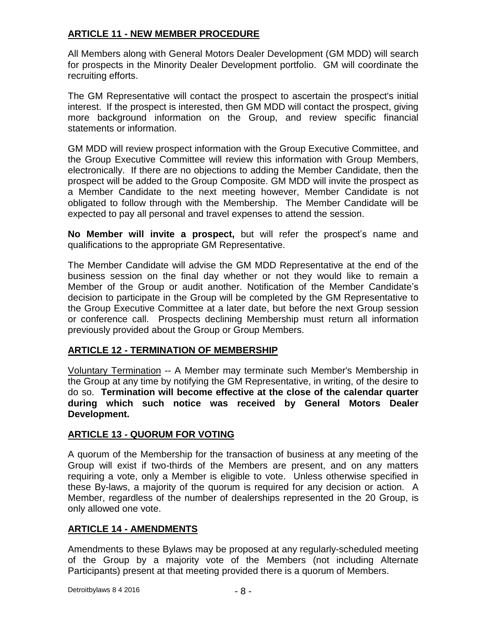# **ARTICLE 11 - NEW MEMBER PROCEDURE**

All Members along with General Motors Dealer Development (GM MDD) will search for prospects in the Minority Dealer Development portfolio. GM will coordinate the recruiting efforts.

The GM Representative will contact the prospect to ascertain the prospect's initial interest. If the prospect is interested, then GM MDD will contact the prospect, giving more background information on the Group, and review specific financial statements or information.

GM MDD will review prospect information with the Group Executive Committee, and the Group Executive Committee will review this information with Group Members, electronically. If there are no objections to adding the Member Candidate, then the prospect will be added to the Group Composite. GM MDD will invite the prospect as a Member Candidate to the next meeting however, Member Candidate is not obligated to follow through with the Membership. The Member Candidate will be expected to pay all personal and travel expenses to attend the session.

**No Member will invite a prospect,** but will refer the prospect's name and qualifications to the appropriate GM Representative.

The Member Candidate will advise the GM MDD Representative at the end of the business session on the final day whether or not they would like to remain a Member of the Group or audit another. Notification of the Member Candidate's decision to participate in the Group will be completed by the GM Representative to the Group Executive Committee at a later date, but before the next Group session or conference call. Prospects declining Membership must return all information previously provided about the Group or Group Members.

## **ARTICLE 12 - TERMINATION OF MEMBERSHIP**

Voluntary Termination -- A Member may terminate such Member's Membership in the Group at any time by notifying the GM Representative, in writing, of the desire to do so. **Termination will become effective at the close of the calendar quarter during which such notice was received by General Motors Dealer Development.**

## **ARTICLE 13 - QUORUM FOR VOTING**

A quorum of the Membership for the transaction of business at any meeting of the Group will exist if two-thirds of the Members are present, and on any matters requiring a vote, only a Member is eligible to vote. Unless otherwise specified in these By-laws, a majority of the quorum is required for any decision or action. A Member, regardless of the number of dealerships represented in the 20 Group, is only allowed one vote.

## **ARTICLE 14 - AMENDMENTS**

Amendments to these Bylaws may be proposed at any regularly-scheduled meeting of the Group by a majority vote of the Members (not including Alternate Participants) present at that meeting provided there is a quorum of Members.